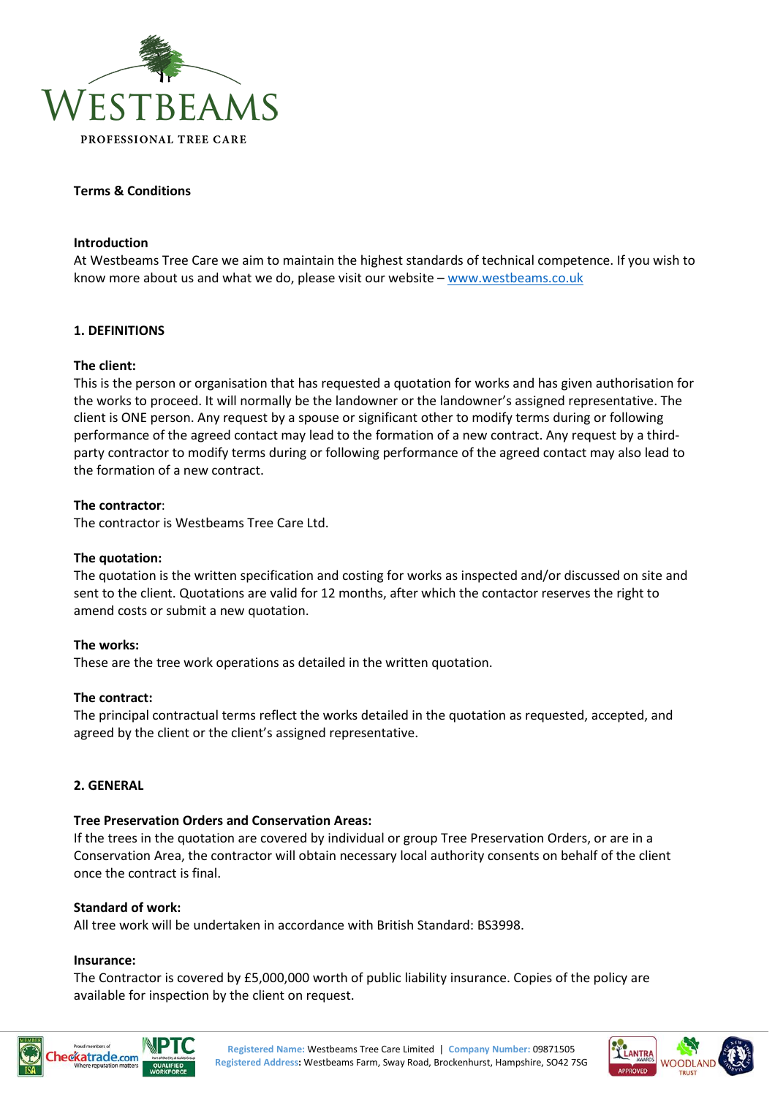

## **Terms & Conditions**

### **Introduction**

At Westbeams Tree Care we aim to maintain the highest standards of technical competence. If you wish to know more about us and what we do, please visit our website – [www.westbeams.co.uk](http://www.westbeams.co.uk/)

## **1. DEFINITIONS**

## **The client:**

This is the person or organisation that has requested a quotation for works and has given authorisation for the works to proceed. It will normally be the landowner or the landowner's assigned representative. The client is ONE person. Any request by a spouse or significant other to modify terms during or following performance of the agreed contact may lead to the formation of a new contract. Any request by a thirdparty contractor to modify terms during or following performance of the agreed contact may also lead to the formation of a new contract.

### **The contractor**:

The contractor is Westbeams Tree Care Ltd.

## **The quotation:**

The quotation is the written specification and costing for works as inspected and/or discussed on site and sent to the client. Quotations are valid for 12 months, after which the contactor reserves the right to amend costs or submit a new quotation.

#### **The works:**

These are the tree work operations as detailed in the written quotation.

## **The contract:**

The principal contractual terms reflect the works detailed in the quotation as requested, accepted, and agreed by the client or the client's assigned representative.

#### **2. GENERAL**

## **Tree Preservation Orders and Conservation Areas:**

If the trees in the quotation are covered by individual or group Tree Preservation Orders, or are in a Conservation Area, the contractor will obtain necessary local authority consents on behalf of the client once the contract is final.

### **Standard of work:**

All tree work will be undertaken in accordance with British Standard: BS3998.

# **Insurance:**

The Contractor is covered by £5,000,000 worth of public liability insurance. Copies of the policy are available for inspection by the client on request.





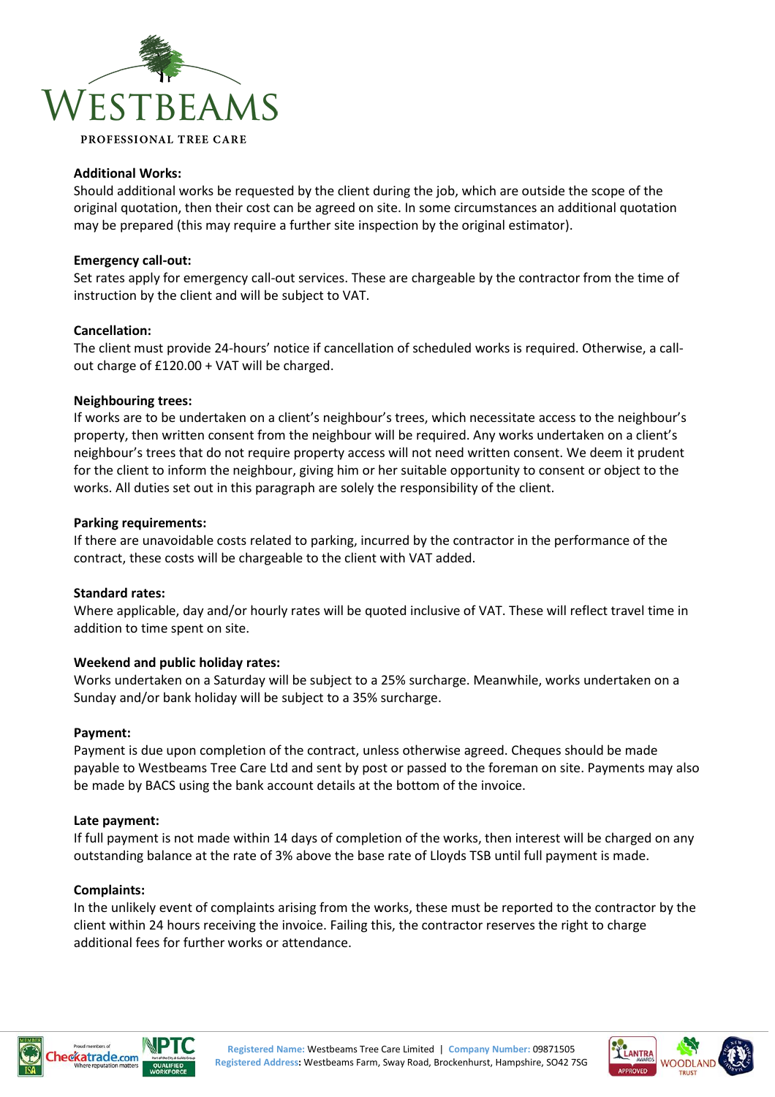

## **Additional Works:**

Should additional works be requested by the client during the job, which are outside the scope of the original quotation, then their cost can be agreed on site. In some circumstances an additional quotation may be prepared (this may require a further site inspection by the original estimator).

### **Emergency call-out:**

Set rates apply for emergency call-out services. These are chargeable by the contractor from the time of instruction by the client and will be subject to VAT.

### **Cancellation:**

The client must provide 24-hours' notice if cancellation of scheduled works is required. Otherwise, a callout charge of £120.00 + VAT will be charged.

### **Neighbouring trees:**

If works are to be undertaken on a client's neighbour's trees, which necessitate access to the neighbour's property, then written consent from the neighbour will be required. Any works undertaken on a client's neighbour's trees that do not require property access will not need written consent. We deem it prudent for the client to inform the neighbour, giving him or her suitable opportunity to consent or object to the works. All duties set out in this paragraph are solely the responsibility of the client.

### **Parking requirements:**

If there are unavoidable costs related to parking, incurred by the contractor in the performance of the contract, these costs will be chargeable to the client with VAT added.

## **Standard rates:**

Where applicable, day and/or hourly rates will be quoted inclusive of VAT. These will reflect travel time in addition to time spent on site.

## **Weekend and public holiday rates:**

Works undertaken on a Saturday will be subject to a 25% surcharge. Meanwhile, works undertaken on a Sunday and/or bank holiday will be subject to a 35% surcharge.

#### **Payment:**

Payment is due upon completion of the contract, unless otherwise agreed. Cheques should be made payable to Westbeams Tree Care Ltd and sent by post or passed to the foreman on site. Payments may also be made by BACS using the bank account details at the bottom of the invoice.

#### **Late payment:**

If full payment is not made within 14 days of completion of the works, then interest will be charged on any outstanding balance at the rate of 3% above the base rate of Lloyds TSB until full payment is made.

#### **Complaints:**

In the unlikely event of complaints arising from the works, these must be reported to the contractor by the client within 24 hours receiving the invoice. Failing this, the contractor reserves the right to charge additional fees for further works or attendance.





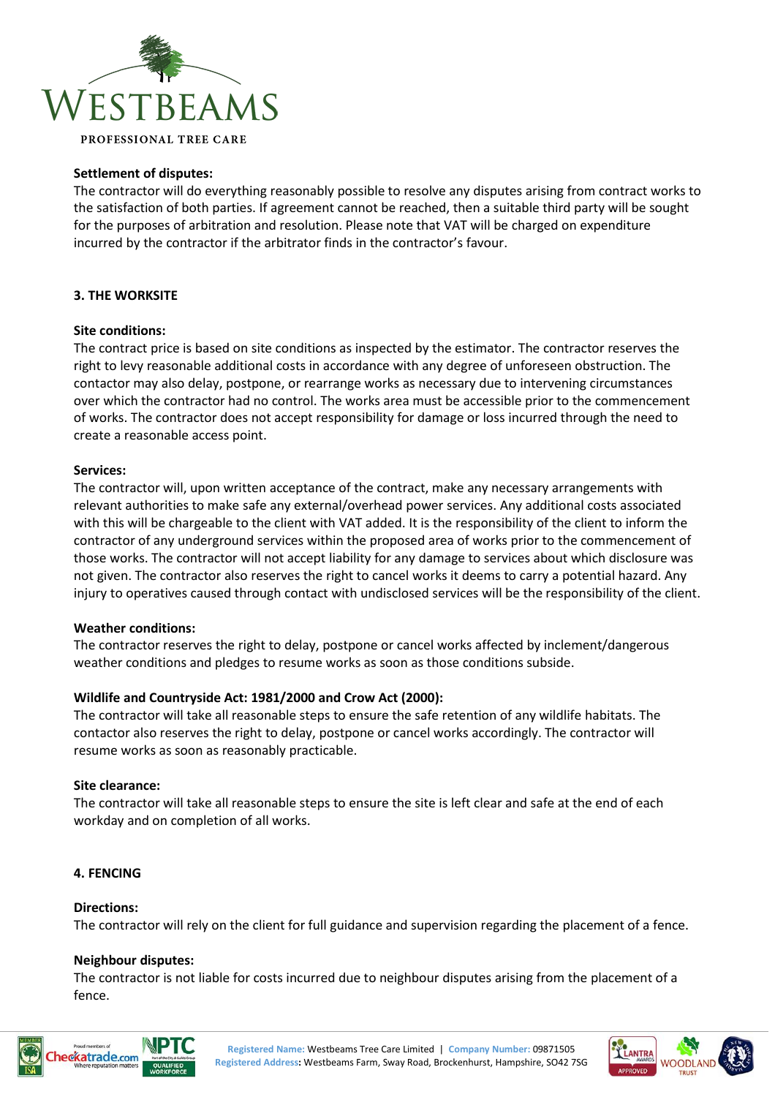

## **Settlement of disputes:**

The contractor will do everything reasonably possible to resolve any disputes arising from contract works to the satisfaction of both parties. If agreement cannot be reached, then a suitable third party will be sought for the purposes of arbitration and resolution. Please note that VAT will be charged on expenditure incurred by the contractor if the arbitrator finds in the contractor's favour.

## **3. THE WORKSITE**

## **Site conditions:**

The contract price is based on site conditions as inspected by the estimator. The contractor reserves the right to levy reasonable additional costs in accordance with any degree of unforeseen obstruction. The contactor may also delay, postpone, or rearrange works as necessary due to intervening circumstances over which the contractor had no control. The works area must be accessible prior to the commencement of works. The contractor does not accept responsibility for damage or loss incurred through the need to create a reasonable access point.

## **Services:**

The contractor will, upon written acceptance of the contract, make any necessary arrangements with relevant authorities to make safe any external/overhead power services. Any additional costs associated with this will be chargeable to the client with VAT added. It is the responsibility of the client to inform the contractor of any underground services within the proposed area of works prior to the commencement of those works. The contractor will not accept liability for any damage to services about which disclosure was not given. The contractor also reserves the right to cancel works it deems to carry a potential hazard. Any injury to operatives caused through contact with undisclosed services will be the responsibility of the client.

## **Weather conditions:**

The contractor reserves the right to delay, postpone or cancel works affected by inclement/dangerous weather conditions and pledges to resume works as soon as those conditions subside.

# **Wildlife and Countryside Act: 1981/2000 and Crow Act (2000):**

The contractor will take all reasonable steps to ensure the safe retention of any wildlife habitats. The contactor also reserves the right to delay, postpone or cancel works accordingly. The contractor will resume works as soon as reasonably practicable.

## **Site clearance:**

The contractor will take all reasonable steps to ensure the site is left clear and safe at the end of each workday and on completion of all works.

## **4. FENCING**

## **Directions:**

The contractor will rely on the client for full guidance and supervision regarding the placement of a fence.

## **Neighbour disputes:**

The contractor is not liable for costs incurred due to neighbour disputes arising from the placement of a fence.





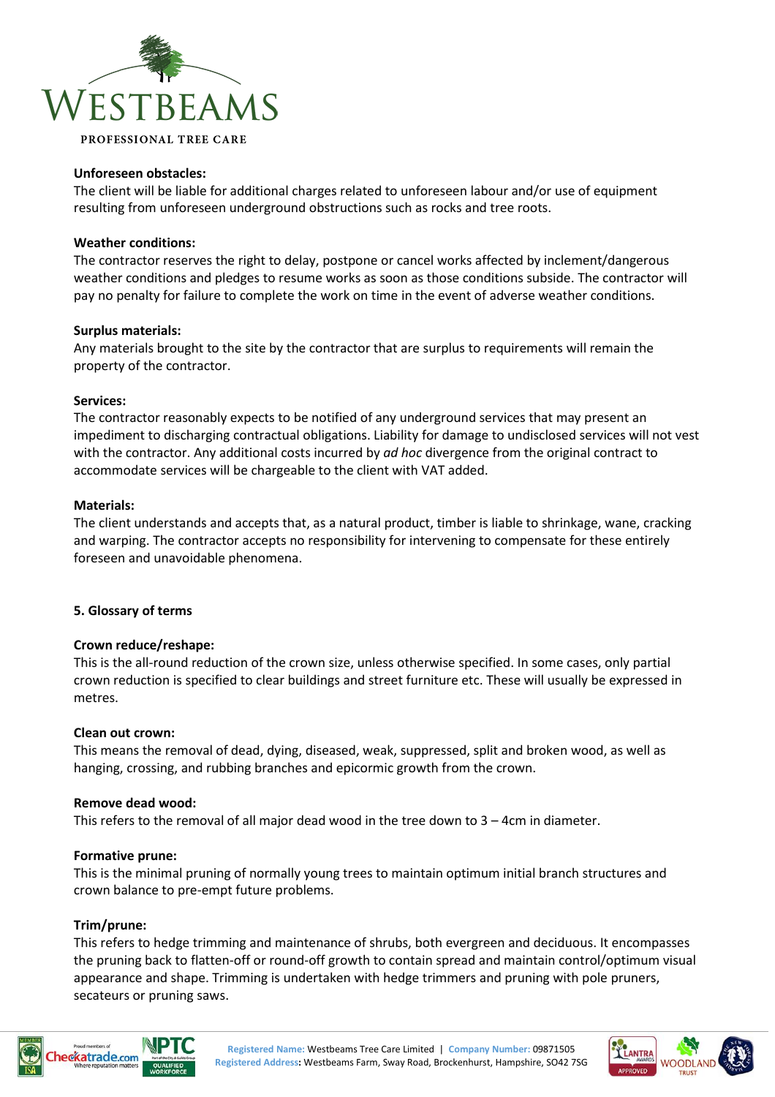

### **Unforeseen obstacles:**

The client will be liable for additional charges related to unforeseen labour and/or use of equipment resulting from unforeseen underground obstructions such as rocks and tree roots.

### **Weather conditions:**

The contractor reserves the right to delay, postpone or cancel works affected by inclement/dangerous weather conditions and pledges to resume works as soon as those conditions subside. The contractor will pay no penalty for failure to complete the work on time in the event of adverse weather conditions.

### **Surplus materials:**

Any materials brought to the site by the contractor that are surplus to requirements will remain the property of the contractor.

### **Services:**

The contractor reasonably expects to be notified of any underground services that may present an impediment to discharging contractual obligations. Liability for damage to undisclosed services will not vest with the contractor. Any additional costs incurred by *ad hoc* divergence from the original contract to accommodate services will be chargeable to the client with VAT added.

### **Materials:**

The client understands and accepts that, as a natural product, timber is liable to shrinkage, wane, cracking and warping. The contractor accepts no responsibility for intervening to compensate for these entirely foreseen and unavoidable phenomena.

## **5. Glossary of terms**

#### **Crown reduce/reshape:**

This is the all-round reduction of the crown size, unless otherwise specified. In some cases, only partial crown reduction is specified to clear buildings and street furniture etc. These will usually be expressed in metres.

### **Clean out crown:**

This means the removal of dead, dying, diseased, weak, suppressed, split and broken wood, as well as hanging, crossing, and rubbing branches and epicormic growth from the crown.

## **Remove dead wood:**

This refers to the removal of all major dead wood in the tree down to 3 – 4cm in diameter.

#### **Formative prune:**

This is the minimal pruning of normally young trees to maintain optimum initial branch structures and crown balance to pre-empt future problems.

## **Trim/prune:**

This refers to hedge trimming and maintenance of shrubs, both evergreen and deciduous. It encompasses the pruning back to flatten-off or round-off growth to contain spread and maintain control/optimum visual appearance and shape. Trimming is undertaken with hedge trimmers and pruning with pole pruners, secateurs or pruning saws.